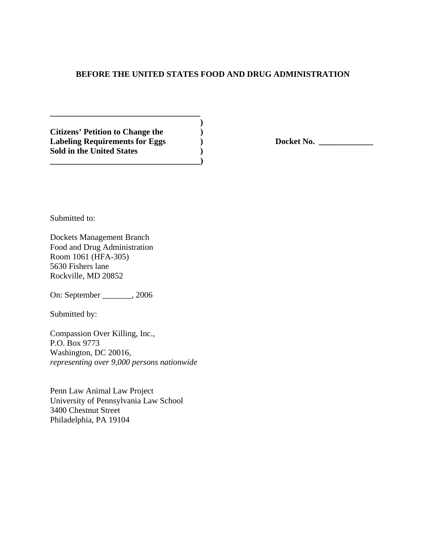# **BEFORE THE UNITED STATES FOOD AND DRUG ADMINISTRATION**

 **) Citizens' Petition to Change the )**  Labeling Requirements for Eggs  $Docket No.$ **Sold in the United States ) \_\_\_\_\_\_\_\_\_\_\_\_\_\_\_\_\_\_\_\_\_\_\_\_\_\_\_\_\_\_\_\_\_\_\_\_)** 

**\_\_\_\_\_\_\_\_\_\_\_\_\_\_\_\_\_\_\_\_\_\_\_\_\_\_\_\_\_\_\_\_\_\_\_\_** 

Submitted to:

Dockets Management Branch Food and Drug Administration Room 1061 (HFA-305) 5630 Fishers lane Rockville, MD 20852

On: September \_\_\_\_\_\_\_, 2006

Submitted by:

Compassion Over Killing, Inc., P.O. Box 9773 Washington, DC 20016, *representing over 9,000 persons nationwide* 

Penn Law Animal Law Project University of Pennsylvania Law School 3400 Chestnut Street Philadelphia, PA 19104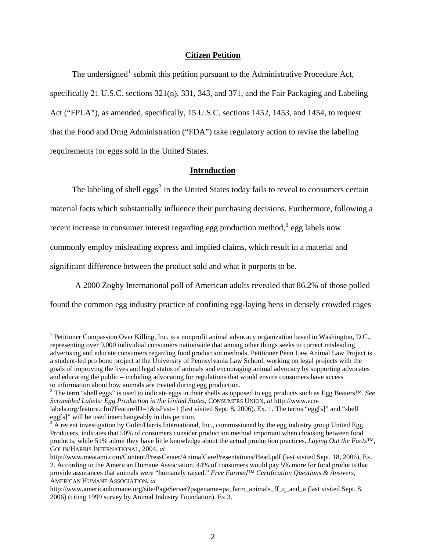# **Citizen Petition**

The undersigned<sup>[1](#page-1-0)</sup> submit this petition pursuant to the Administrative Procedure Act, specifically 21 U.S.C. sections 321(n), 331, 343, and 371, and the Fair Packaging and Labeling Act ("FPLA"), as amended, specifically, 15 U.S.C. sections 1452, 1453, and 1454, to request that the Food and Drug Administration ("FDA") take regulatory action to revise the labeling requirements for eggs sold in the United States.

#### **Introduction**

The labeling of shell  $eggs<sup>2</sup>$  $eggs<sup>2</sup>$  $eggs<sup>2</sup>$  in the United States today fails to reveal to consumers certain material facts which substantially influence their purchasing decisions. Furthermore, following a recent increase in consumer interest regarding egg production method,<sup>[3](#page-1-2)</sup> egg labels now commonly employ misleading express and implied claims, which result in a material and significant difference between the product sold and what it purports to be.

A 2000 Zogby International poll of American adults revealed that 86.2% of those polled

found the common egg industry practice of confining egg-laying hens in densely crowded cages

<span id="page-1-0"></span><sup>&</sup>lt;sup>1</sup> Petitioner Compassion Over Killing, Inc. is a nonprofit animal advocacy organization based in Washington, D.C., representing over 9,000 individual consumers nationwide that among other things seeks to correct misleading advertising and educate consumers regarding food production methods. Petitioner Penn Law Animal Law Project is a student-led pro bono project at the University of Pennsylvania Law School, working on legal projects with the goals of improving the lives and legal status of animals and encouraging animal advocacy by supporting advocates and educating the public – including advocating for regulations that would ensure consumers have access to information about how animals are treated during egg production.

<span id="page-1-1"></span><sup>2</sup> The term "shell eggs" is used to indicate eggs in their shells as opposed to egg products such as Egg Beaters™. *See Scrambled Labels: Egg Production in the United States,* CONSUMERS UNION, *at* [http://www.eco](http://www.eco-labels.org/feature.cfm?FeatureID=1&isPast=1)[labels.org/feature.cfm?FeatureID=1&isPast=1](http://www.eco-labels.org/feature.cfm?FeatureID=1&isPast=1) (last visited Sept. 8, 2006). Ex. 1. The terms "egg[s]" and "shell

egg[s]" will be used interchangeably in this petition,

<span id="page-1-2"></span><sup>&</sup>lt;sup>3</sup> A recent investigation by Golin/Harris International, Inc., commissioned by the egg industry group United Egg Producers, indicates that 50% of consumers consider production method important when choosing between food products, while 51% admit they have little knowledge about the actual production practices. *Laying Out the Facts™*, GOLIN/HARRIS INTERNATIONAL, 2004, *at*

<http://www.meatami.com/Content/PressCenter/AnimalCarePresentations/Head.pdf>(last visited Sept. 18, 2006), Ex. 2. According to the American Humane Association, 44% of consumers would pay 5% more for food products that provide assurances that animals were "humanely raised." *Free Farmed™ Certification Questions & Answers,*  AMERICAN HUMANE ASSOCIATION, *at* 

http://www.americanhumane.org/site/PageServer?pagename=pa\_farm\_animals\_ff\_q\_and\_a (last visited Sept. 8, 2006) (citing 1999 survey by Animal Industry Foundation), Ex 3.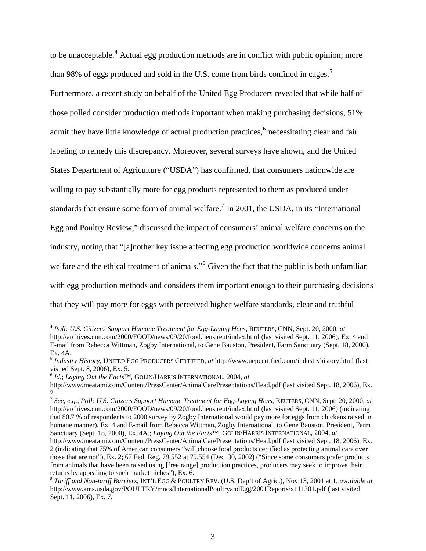to be unacceptable.<sup>[4](#page-2-0)</sup> Actual egg production methods are in conflict with public opinion; more than 98% of eggs produced and sold in the U.S. come from birds confined in cages.<sup>[5](#page-2-1)</sup> Furthermore, a recent study on behalf of the United Egg Producers revealed that while half of those polled consider production methods important when making purchasing decisions, 51% admit they have little knowledge of actual production practices, <sup>[6](#page-2-2)</sup> necessitating clear and fair labeling to remedy this discrepancy. Moreover, several surveys have shown, and the United States Department of Agriculture ("USDA") has confirmed, that consumers nationwide are willing to pay substantially more for egg products represented to them as produced under standards that ensure some form of animal welfare.<sup>[7](#page-2-3)</sup> In 2001, the USDA, in its "International Egg and Poultry Review," discussed the impact of consumers' animal welfare concerns on the industry, noting that "[a]nother key issue affecting egg production worldwide concerns animal welfare and the ethical treatment of animals."<sup>[8](#page-2-4)</sup> Given the fact that the public is both unfamiliar with egg production methods and considers them important enough to their purchasing decisions that they will pay more for eggs with perceived higher welfare standards, clear and truthful

<span id="page-2-2"></span><sup>6</sup> *Id.*; *Laying Out the Facts™*, GOLIN/HARRIS INTERNATIONAL, 2004, *at*

<span id="page-2-0"></span><sup>4</sup> *Poll: U.S. Citizens Support Humane Treatment for Egg-Laying Hens*, REUTERS, CNN, Sept. 20, 2000, *at* <http://archives.cnn.com/2000/FOOD/news/09/20/food.hens.reut/index.html> (last visited Sept. 11, 2006), Ex. 4 and E-mail from Rebecca Wittman, Zogby International, to Gene Bauston, President, Farm Sanctuary (Sept. 18, 2000), Ex. 4A.

<span id="page-2-1"></span><sup>5</sup> *Industry History*, UNITED EGG PRODUCERS CERTIFIED, *at* <http://www.uepcertified.com/industryhistory.html>(last visited Sept. 8, 2006), Ex. 5.

<http://www.meatami.com/Content/PressCenter/AnimalCarePresentations/Head.pdf>(last visited Sept. 18, 2006), Ex. 2.

<span id="page-2-3"></span><sup>7</sup> *See, e.g., Poll: U.S. Citizens Support Humane Treatment for Egg-Laying Hens*, REUTERS, CNN, Sept. 20, 2000, *at* <http://archives.cnn.com/2000/FOOD/news/09/20/food.hens.reut/index.html> (last visited Sept. 11, 2006) (indicating that 80.7 % of respondents to 2000 survey by Zogby International would pay more for eggs from chickens raised in humane manner), Ex. 4 and E-mail from Rebecca Wittman, Zogby International, to Gene Bauston, President, Farm Sanctuary (Sept. 18, 2000), Ex. 4A.; *Laying Out the Facts™*, GOLIN/HARRIS INTERNATIONAL, 2004, *at*

<http://www.meatami.com/Content/PressCenter/AnimalCarePresentations/Head.pdf>(last visited Sept. 18, 2006), Ex. 2 (indicating that 75% of American consumers "will choose food products certified as protecting animal care over those that are not"), Ex. 2; [67 Fed. Reg. 79,552 at 79,554 \(Dec. 30, 2002\)](http://web2.westlaw.com/find/default.wl?DocName=67FR79552&FindType=Y&ReferencePositionType=S&ReferencePosition=79552&AP=&fn=_top&rs=WLW6.08&mt=LawSchoolPractitioner&vr=2.0&sv=Split) ("Since some consumers prefer products from animals that have been raised using [free range] production practices, producers may seek to improve their returns by appealing to such market niches"), Ex. 6.

<span id="page-2-4"></span><sup>8</sup> *Tariff and Non-tariff Barriers*, INT'L EGG & POULTRY REV. (U.S. Dep't of Agric.), Nov.13, 2001 at 1, *available at* <http://www.ams.usda.gov/POULTRY/mncs/InternationalPoultryandEgg/2001Reports/x111301.pdf>(last visited Sept. 11, 2006), Ex. 7.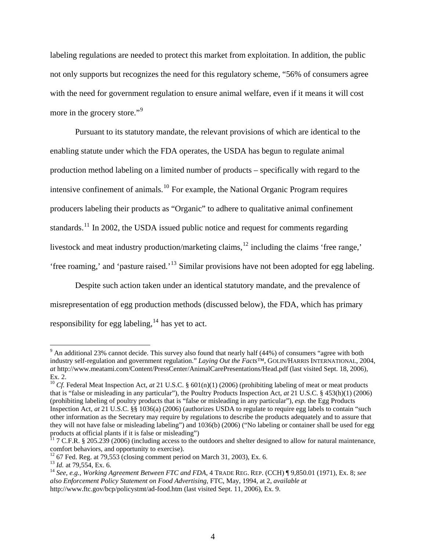labeling regulations are needed to protect this market from exploitation. In addition, the public not only supports but recognizes the need for this regulatory scheme, "56% of consumers agree with the need for government regulation to ensure animal welfare, even if it means it will cost more in the grocery store."<sup>[9](#page-3-0)</sup>

 Pursuant to its statutory mandate, the relevant provisions of which are identical to the enabling statute under which the FDA operates, the USDA has begun to regulate animal production method labeling on a limited number of products – specifically with regard to the intensive confinement of animals.[10](#page-3-1) For example, the National Organic Program requires producers labeling their products as "Organic" to adhere to qualitative animal confinement standards.<sup>[11](#page-3-2)</sup> In 2002, the USDA issued public notice and request for comments regarding livestock and meat industry production/marketing claims,<sup>[12](#page-3-3)</sup> including the claims 'free range,' 'free roaming,' and 'pasture raised.'[13](#page-3-4) Similar provisions have not been adopted for egg labeling.

 Despite such action taken under an identical statutory mandate, and the prevalence of misrepresentation of egg production methods (discussed below), the FDA, which has primary responsibility for egg labeling, $^{14}$  $^{14}$  $^{14}$  has yet to act.

<span id="page-3-0"></span> $9$  An additional 23% cannot decide. This survey also found that nearly half (44%) of consumers "agree with both industry self-regulation and government regulation." *Laying Out the Facts™*, GOLIN/HARRIS INTERNATIONAL, 2004, *at* <http://www.meatami.com/Content/PressCenter/AnimalCarePresentations/Head.pdf> (last visited Sept. 18, 2006), Ex. 2.

<span id="page-3-1"></span><sup>&</sup>lt;sup>10</sup> *Cf.* Federal Meat Inspection Act, *at* 21 U.S.C. § 601(n)(1) (2006) (prohibiting labeling of meat or meat products that is "false or misleading in any particular"), the Poultry Products Inspection Act, *at* 21 U.S.C. § 453(h)(1) (2006) (prohibiting labeling of poultry products that is "false or misleading in any particular"), *esp.* the Egg Products Inspection Act, *at* 21 U.S.C. §§ 1036(a) (2006) (authorizes USDA to regulate to require egg labels to contain "such other information as the Secretary may require by regulations to describe the products adequately and to assure that they will not have false or misleading labeling") and 1036(b) (2006) ("No labeling or container shall be used for egg products at official plants if it is false or misleading")

<span id="page-3-2"></span> $11$  [7 C.F.R. § 205.239 \(2006\)](http://web2.westlaw.com/find/default.wl?DB=1000547&DocName=7CFRS205%2E239&FindType=L&AP=&fn=_top&rs=WLW6.08&mt=LawSchoolPractitioner&vr=2.0&sv=Split) (including access to the outdoors and shelter designed to allow for natural maintenance, comfort behaviors, and opportunity to exercise).<br><sup>12</sup> 67 Fed. Reg. at 79,553 (closing comment period on March 31, 2003), Ex. 6.

<span id="page-3-3"></span>

<span id="page-3-5"></span><span id="page-3-4"></span><sup>&</sup>lt;sup>13</sup> Id. at 79,554, Ex. 6.<br><sup>14</sup> See, e.g., Working Agreement Between FTC and FDA, 4 TRADE REG. REP. (CCH) ¶ 9,850.01 (1971), Ex. 8; see *also Enforcement Policy Statement on Food Advertising*, FTC, May, 1994, at 2, *available at* <http://www.ftc.gov/bcp/policystmt/ad-food.htm> (last visited Sept. 11, 2006), Ex. 9.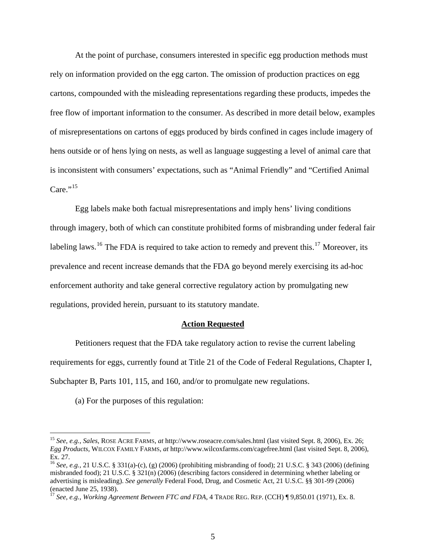At the point of purchase, consumers interested in specific egg production methods must rely on information provided on the egg carton. The omission of production practices on egg cartons, compounded with the misleading representations regarding these products, impedes the free flow of important information to the consumer. As described in more detail below, examples of misrepresentations on cartons of eggs produced by birds confined in cages include imagery of hens outside or of hens lying on nests, as well as language suggesting a level of animal care that is inconsistent with consumers' expectations, such as "Animal Friendly" and "Certified Animal  $Care.$ <sup>[15](#page-4-0)</sup>

Egg labels make both factual misrepresentations and imply hens' living conditions through imagery, both of which can constitute prohibited forms of misbranding under federal fair labeling laws.<sup>[16](#page-4-1)</sup> The FDA is required to take action to remedy and prevent this.<sup>[17](#page-4-2)</sup> Moreover, its prevalence and recent increase demands that the FDA go beyond merely exercising its ad-hoc enforcement authority and take general corrective regulatory action by promulgating new regulations, provided herein, pursuant to its statutory mandate.

#### **Action Requested**

Petitioners request that the FDA take regulatory action to revise the current labeling requirements for eggs, currently found at Title 21 of the Code of Federal Regulations, Chapter I, Subchapter B, Parts 101, 115, and 160, and/or to promulgate new regulations.

(a) For the purposes of this regulation:

<span id="page-4-0"></span><sup>15</sup> *See, e.g., Sales*, ROSE ACRE FARMS, *at* http://www.roseacre.com/sales.html (last visited Sept. 8, 2006), Ex. 26; *Egg Products,* WILCOX FAMILY FARMS, *at* <http://www.wilcoxfarms.com/cagefree.html> (last visited Sept. 8, 2006), Ex. 27.

<span id="page-4-1"></span><sup>16</sup> *See, e.g.,* 21 U.S.C. § 331(a)-(c), (g) (2006) (prohibiting misbranding of food); 21 U.S.C. § 343 (2006) (defining misbranded food); 21 U.S.C. § 321(n) (2006) (describing factors considered in determining whether labeling or advertising is misleading). *See generally* Federal Food, Drug, and Cosmetic Act, 21 U.S.C. §§ 301-99 (2006) (enacted June 25, 1938).

<span id="page-4-2"></span><sup>17</sup> *See, e.g., Working Agreement Between FTC and FDA*, 4 TRADE REG. REP. (CCH) ¶ 9,850.01 (1971), Ex. 8.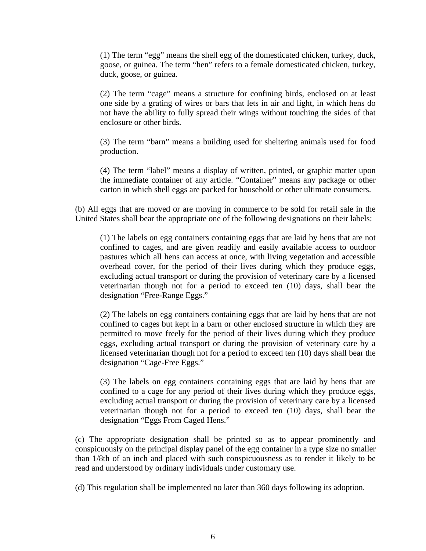(1) The term "egg" means the shell egg of the domesticated chicken, turkey, duck, goose, or guinea. The term "hen" refers to a female domesticated chicken, turkey, duck, goose, or guinea.

(2) The term "cage" means a structure for confining birds, enclosed on at least one side by a grating of wires or bars that lets in air and light, in which hens do not have the ability to fully spread their wings without touching the sides of that enclosure or other birds.

(3) The term "barn" means a building used for sheltering animals used for food production.

(4) The term "label" means a display of written, printed, or graphic matter upon the immediate container of any article. "Container" means any package or other carton in which shell eggs are packed for household or other ultimate consumers.

(b) All eggs that are moved or are moving in commerce to be sold for retail sale in the United States shall bear the appropriate one of the following designations on their labels:

(1) The labels on egg containers containing eggs that are laid by hens that are not confined to cages, and are given readily and easily available access to outdoor pastures which all hens can access at once, with living vegetation and accessible overhead cover, for the period of their lives during which they produce eggs, excluding actual transport or during the provision of veterinary care by a licensed veterinarian though not for a period to exceed ten (10) days, shall bear the designation "Free-Range Eggs."

(2) The labels on egg containers containing eggs that are laid by hens that are not confined to cages but kept in a barn or other enclosed structure in which they are permitted to move freely for the period of their lives during which they produce eggs, excluding actual transport or during the provision of veterinary care by a licensed veterinarian though not for a period to exceed ten (10) days shall bear the designation "Cage-Free Eggs."

(3) The labels on egg containers containing eggs that are laid by hens that are confined to a cage for any period of their lives during which they produce eggs, excluding actual transport or during the provision of veterinary care by a licensed veterinarian though not for a period to exceed ten (10) days, shall bear the designation "Eggs From Caged Hens."

(c) The appropriate designation shall be printed so as to appear prominently and conspicuously on the principal display panel of the egg container in a type size no smaller than 1/8th of an inch and placed with such conspicuousness as to render it likely to be read and understood by ordinary individuals under customary use.

(d) This regulation shall be implemented no later than 360 days following its adoption.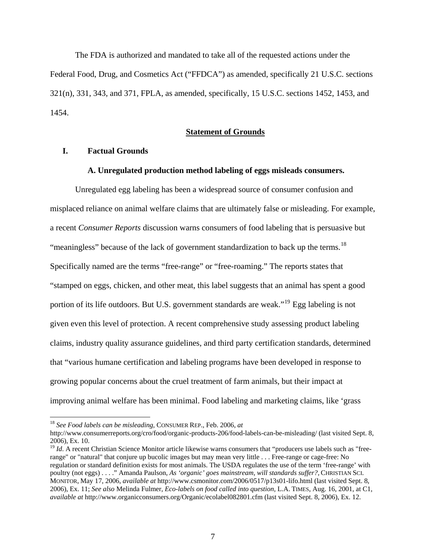The FDA is authorized and mandated to take all of the requested actions under the Federal Food, Drug, and Cosmetics Act ("FFDCA") as amended, specifically 21 U.S.C. sections 321(n), 331, 343, and 371, FPLA, as amended, specifically, 15 U.S.C. sections 1452, 1453, and 1454.

# **Statement of Grounds**

# **I. Factual Grounds**

#### **A. Unregulated production method labeling of eggs misleads consumers.**

Unregulated egg labeling has been a widespread source of consumer confusion and misplaced reliance on animal welfare claims that are ultimately false or misleading. For example, a recent *Consumer Reports* discussion warns consumers of food labeling that is persuasive but "meaningless" because of the lack of government standardization to back up the terms.<sup>[18](#page-6-0)</sup> Specifically named are the terms "free-range" or "free-roaming." The reports states that "stamped on eggs, chicken, and other meat, this label suggests that an animal has spent a good portion of its life outdoors. But U.S. government standards are weak."<sup>[19](#page-6-1)</sup> Egg labeling is not given even this level of protection. A recent comprehensive study assessing product labeling claims, industry quality assurance guidelines, and third party certification standards, determined that "various humane certification and labeling programs have been developed in response to growing popular concerns about the cruel treatment of farm animals, but their impact at improving animal welfare has been minimal. Food labeling and marketing claims, like 'grass

<span id="page-6-0"></span><sup>18</sup> *See Food labels can be misleading,* CONSUMER REP., Feb. 2006, *at*

http://www.consumerreports.org/cro/food/organic-products-206/food-labels-can-be-misleading/ (last visited Sept. 8, 2006), Ex. 10.

<span id="page-6-1"></span><sup>&</sup>lt;sup>19</sup> *Id.* A recent Christian Science Monitor article likewise warns consumers that "producers use labels such as "freerange" or "natural" that conjure up bucolic images but may mean very little . . . Free-range or cage-free: No regulation or standard definition exists for most animals. The USDA regulates the use of the term 'free-range' with poultry (not eggs) . . . ." Amanda Paulson, *As 'organic' goes mainstream, will standards suffer?,* CHRISTIAN SCI. MONITOR, May 17, 2006, *available at* <http://www.csmonitor.com/2006/0517/p13s01-lifo.html> (last visited Sept. 8, 2006), Ex. 11; *See also* Melinda Fulmer, *Eco-labels on food called into question,* L.A. TIMES, Aug. 16, 2001, at C1, *available at* <http://www.organicconsumers.org/Organic/ecolabel082801.cfm> (last visited Sept. 8, 2006), Ex. 12.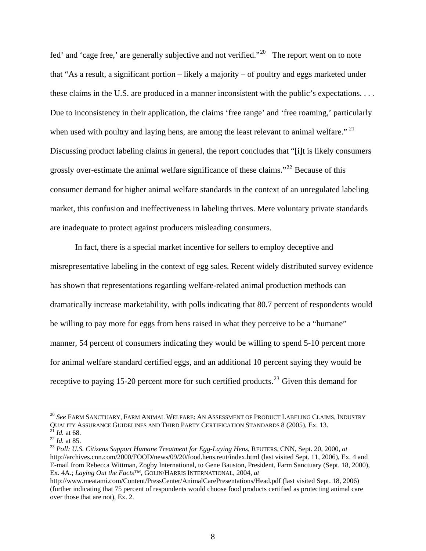fed' and 'cage free,' are generally subjective and not verified."<sup>[20](#page-7-0)</sup> The report went on to note that "As a result, a significant portion – likely a majority – of poultry and eggs marketed under these claims in the U.S. are produced in a manner inconsistent with the public's expectations. . . . Due to inconsistency in their application, the claims 'free range' and 'free roaming,' particularly when used with poultry and laying hens, are among the least relevant to animal welfare."  $2<sup>1</sup>$ Discussing product labeling claims in general, the report concludes that "[i]t is likely consumers grossly over-estimate the animal welfare significance of these claims."[22](#page-7-2) Because of this consumer demand for higher animal welfare standards in the context of an unregulated labeling market, this confusion and ineffectiveness in labeling thrives. Mere voluntary private standards are inadequate to protect against producers misleading consumers.

In fact, there is a special market incentive for sellers to employ deceptive and misrepresentative labeling in the context of egg sales. Recent widely distributed survey evidence has shown that representations regarding welfare-related animal production methods can dramatically increase marketability, with polls indicating that 80.7 percent of respondents would be willing to pay more for eggs from hens raised in what they perceive to be a "humane" manner, 54 percent of consumers indicating they would be willing to spend 5-10 percent more for animal welfare standard certified eggs, and an additional 10 percent saying they would be receptive to paying 15-20 percent more for such certified products.<sup>[23](#page-7-3)</sup> Given this demand for

<span id="page-7-0"></span><sup>20</sup> *See* FARM SANCTUARY, FARM ANIMAL WELFARE: AN ASSESSMENT OF PRODUCT LABELING CLAIMS, INDUSTRY QUALITY ASSURANCE GUIDELINES AND THIRD PARTY CERTIFICATION STANDARDS 8 (2005), Ex. 13.<br>
<sup>21</sup> Id. at 68.<br>
<sup>22</sup> Id. at 85.<br>
<sup>23</sup> Poll: U.S. Citizens Support Humane Treatment for Egg-Laying Hens, REUTERS, CNN, Sept. 20, 2000,

<span id="page-7-2"></span><span id="page-7-1"></span>

<span id="page-7-3"></span><http://archives.cnn.com/2000/FOOD/news/09/20/food.hens.reut/index.html> (last visited Sept. 11, 2006), Ex. 4 and E-mail from Rebecca Wittman, Zogby International, to Gene Bauston, President, Farm Sanctuary (Sept. 18, 2000), Ex. 4A.; *Laying Out the Facts™*, GOLIN/HARRIS INTERNATIONAL, 2004, *at*

<http://www.meatami.com/Content/PressCenter/AnimalCarePresentations/Head.pdf>(last visited Sept. 18, 2006) (further indicating that 75 percent of respondents would choose food products certified as protecting animal care over those that are not), Ex. 2.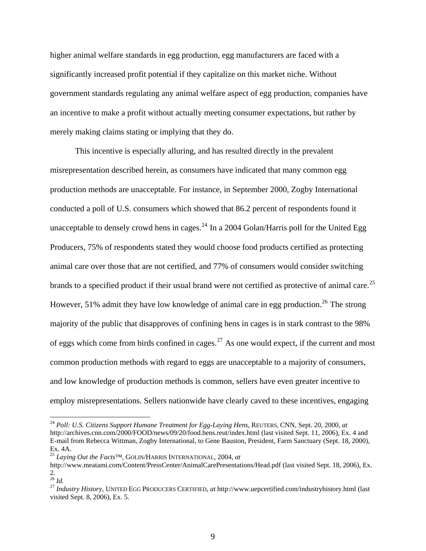higher animal welfare standards in egg production, egg manufacturers are faced with a significantly increased profit potential if they capitalize on this market niche. Without government standards regulating any animal welfare aspect of egg production, companies have an incentive to make a profit without actually meeting consumer expectations, but rather by merely making claims stating or implying that they do.

 This incentive is especially alluring, and has resulted directly in the prevalent misrepresentation described herein, as consumers have indicated that many common egg production methods are unacceptable. For instance, in September 2000, Zogby International conducted a poll of U.S. consumers which showed that 86.2 percent of respondents found it unacceptable to densely crowd hens in cages.<sup>[24](#page-8-0)</sup> In a 2004 Golan/Harris poll for the United Egg Producers, 75% of respondents stated they would choose food products certified as protecting animal care over those that are not certified, and 77% of consumers would consider switching brands to a specified product if their usual brand were not certified as protective of animal care.<sup>[25](#page-8-1)</sup> However, 51% admit they have low knowledge of animal care in egg production.<sup>[26](#page-8-2)</sup> The strong majority of the public that disapproves of confining hens in cages is in stark contrast to the 98% of eggs which come from birds confined in cages.<sup>[27](#page-8-3)</sup> As one would expect, if the current and most common production methods with regard to eggs are unacceptable to a majority of consumers, and low knowledge of production methods is common, sellers have even greater incentive to employ misrepresentations. Sellers nationwide have clearly caved to these incentives, engaging

<span id="page-8-0"></span><sup>24</sup> *Poll: U.S. Citizens Support Humane Treatment for Egg-Laying Hens*, REUTERS, CNN, Sept. 20, 2000, *at* <http://archives.cnn.com/2000/FOOD/news/09/20/food.hens.reut/index.html> (last visited Sept. 11, 2006), Ex. 4 and E-mail from Rebecca Wittman, Zogby International, to Gene Bauston, President, Farm Sanctuary (Sept. 18, 2000), Ex. 4A.

<sup>25</sup> *Laying Out the Facts™*, GOLIN/HARRIS INTERNATIONAL, 2004, *at*

<span id="page-8-1"></span><http://www.meatami.com/Content/PressCenter/AnimalCarePresentations/Head.pdf>(last visited Sept. 18, 2006), Ex.  $rac{2.}{^{26}}$  *Id.* 

<span id="page-8-3"></span><span id="page-8-2"></span><sup>&</sup>lt;sup>27</sup> *Industry History*, UNITED EGG PRODUCERS CERTIFIED, *at* <http://www.uepcertified.com/industryhistory.html>(last visited Sept. 8, 2006), Ex. 5.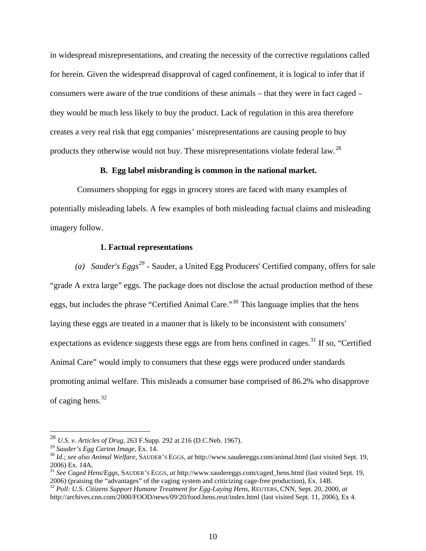in widespread misrepresentations, and creating the necessity of the corrective regulations called for herein. Given the widespread disapproval of caged confinement, it is logical to infer that if consumers were aware of the true conditions of these animals – that they were in fact caged – they would be much less likely to buy the product. Lack of regulation in this area therefore creates a very real risk that egg companies' misrepresentations are causing people to buy products they otherwise would not buy. These misrepresentations violate federal law.<sup>[28](#page-9-0)</sup>

### **B. Egg label misbranding is common in the national market.**

 Consumers shopping for eggs in grocery stores are faced with many examples of potentially misleading labels. A few examples of both misleading factual claims and misleading imagery follow.

### **1. Factual representations**

*(a) Sauder's Eggs[29](#page-9-1)* - Sauder, a United Egg Producers' Certified company, offers for sale "grade A extra large" eggs. The package does not disclose the actual production method of these eggs, but includes the phrase "Certified Animal Care."<sup>[30](#page-9-2)</sup> This language implies that the hens laying these eggs are treated in a manner that is likely to be inconsistent with consumers' expectations as evidence suggests these eggs are from hens confined in cages.<sup>[31](#page-9-3)</sup> If so, "Certified" Animal Care" would imply to consumers that these eggs were produced under standards promoting animal welfare. This misleads a consumer base comprised of 86.2% who disapprove of caging hens. $32$ 

<span id="page-9-1"></span><span id="page-9-0"></span><sup>&</sup>lt;sup>28</sup> *U.S. v. Articles of Drug*, 263 F.Supp. 292 at 216 (D.C.Neb. 1967).<br><sup>29</sup> Sauder's Egg Carton Image, Ex. 14.

<span id="page-9-2"></span><sup>&</sup>lt;sup>30</sup> *Id.*; *see also Animal Welfare*, SAUDER'S EGGS, *at* http://www.saudereggs.com/animal.html (last visited Sept. 19, 2006) Ex. 14A.

<span id="page-9-3"></span><sup>&</sup>lt;sup>31</sup> *See Caged Hens/Eggs*, SAUDER's EGGS, *at* [http://www.saudereggs.com/caged\\_hens.html](http://www.saudereggs.com/caged_hens.html) (last visited Sept. 19, 2006) (praising the "advantages" of the caging system and criticizing cage-free production), Ex. 14B.

<span id="page-9-4"></span><sup>&</sup>lt;sup>32</sup> Poll: U.S. Citizens Support Humane Treatment for Egg-Laying Hens, REUTERS, CNN, Sept. 20, 2000, *at* <http://archives.cnn.com/2000/FOOD/news/09/20/food.hens.reut/index.html> (last visited Sept. 11, 2006), Ex 4.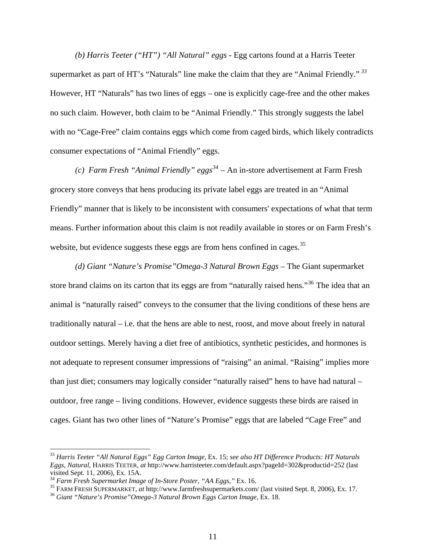*(b) Harris Teeter ("HT") "All Natural" eggs -* Egg cartons found at a Harris Teeter supermarket as part of HT's "Naturals" line make the claim that they are "Animal Friendly." *[33](#page-10-0)* However, HT "Naturals" has two lines of eggs – one is explicitly cage-free and the other makes no such claim. However, both claim to be "Animal Friendly." This strongly suggests the label with no "Cage-Free" claim contains eggs which come from caged birds, which likely contradicts consumer expectations of "Animal Friendly" eggs.

*(c) Farm Fresh "Animal Friendly" eggs[34](#page-10-1)* – An in-store advertisement at Farm Fresh grocery store conveys that hens producing its private label eggs are treated in an "Animal Friendly" manner that is likely to be inconsistent with consumers' expectations of what that term means. Further information about this claim is not readily available in stores or on Farm Fresh's website, but evidence suggests these eggs are from hens confined in cages.<sup>[35](#page-10-2)</sup>

*(d) Giant "Nature's Promise"Omega-3 Natural Brown Eggs* – The Giant supermarket store brand claims on its carton that its eggs are from "naturally raised hens."<sup>[36](#page-10-3)</sup> The idea that an animal is "naturally raised" conveys to the consumer that the living conditions of these hens are traditionally natural – i.e. that the hens are able to nest, roost, and move about freely in natural outdoor settings. Merely having a diet free of antibiotics, synthetic pesticides, and hormones is not adequate to represent consumer impressions of "raising" an animal. "Raising" implies more than just diet; consumers may logically consider "naturally raised" hens to have had natural – outdoor, free range – living conditions. However, evidence suggests these birds are raised in cages. Giant has two other lines of "Nature's Promise" eggs that are labeled "Cage Free" and

<span id="page-10-0"></span><sup>33</sup> *Harris Teeter "All Natural Eggs" Egg Carton Image*, Ex. 15; *see also HT Difference Products: HT Naturals Eggs, Natural*, HARRIS TEETER, *at* <http://www.harristeeter.com/default.aspx?pageId=302&productid=252> (last visited Sept. 11, 2006), Ex. 15A.<br><sup>34</sup> Farm Fresh Supermarket Image of In-Store Poster, "AA Eggs," Ex. 16.

<span id="page-10-3"></span><span id="page-10-2"></span><span id="page-10-1"></span><sup>&</sup>lt;sup>35</sup> FARM FRESH SUPERMARKET, at http://www.farmfreshsupermarkets.com/ (last visited Sept. 8, 2006), Ex. 17.<br><sup>36</sup> Giant "Nature's Promise" Omega-3 Natural Brown Eggs Carton Image, Ex. 18.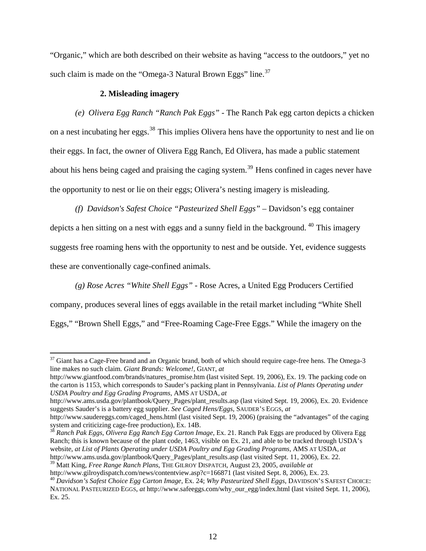"Organic," which are both described on their website as having "access to the outdoors," yet no such claim is made on the "Omega-3 Natural Brown Eggs" line.<sup>[37](#page-11-0)</sup>

### **2. Misleading imagery**

 $\overline{a}$ 

*(e) Olivera Egg Ranch "Ranch Pak Eggs"* - The Ranch Pak egg carton depicts a chicken on a nest incubating her eggs.<sup>[38](#page-11-1)</sup> This implies Olivera hens have the opportunity to nest and lie on their eggs. In fact, the owner of Olivera Egg Ranch, Ed Olivera, has made a public statement about his hens being caged and praising the caging system.<sup>[39](#page-11-2)</sup> Hens confined in cages never have the opportunity to nest or lie on their eggs; Olivera's nesting imagery is misleading.

*(f) Davidson's Safest Choice "Pasteurized Shell Eggs"* – Davidson's egg container depicts a hen sitting on a nest with eggs and a sunny field in the background.  $40$  This imagery suggests free roaming hens with the opportunity to nest and be outside. Yet, evidence suggests these are conventionally cage-confined animals.

 *(g) Rose Acres "White Shell Eggs"* - Rose Acres, a United Egg Producers Certified company, produces several lines of eggs available in the retail market including "White Shell Eggs," "Brown Shell Eggs," and "Free-Roaming Cage-Free Eggs." While the imagery on the

[http://www.giantfood.com/brands/natures\\_promise.htm](http://www.giantfood.com/brands/natures_promise.htm) (last visited Sept. 19, 2006), Ex. 19. The packing code on the carton is 1153, which corresponds to Sauder's packing plant in Pennsylvania. *List of Plants Operating under USDA Poultry and Egg Grading Programs,* AMS AT USDA, *at* 

[http://www.ams.usda.gov/plantbook/Query\\_Pages/plant\\_results.asp](http://www.ams.usda.gov/plantbook/Query_Pages/plant_results.asp) (last visited Sept. 19, 2006), Ex. 20. Evidence suggests Sauder's is a battery egg supplier. *See Caged Hens/Eggs*, SAUDER'S EGGS, *at*

<span id="page-11-1"></span><sup>38</sup> *Ranch Pak Eggs, Olivera Egg Ranch Egg Carton Image,* Ex. 21. Ranch Pak Eggs are produced by Olivera Egg Ranch; this is known because of the plant code, 1463, visible on Ex. 21, and able to be tracked through USDA's website, *at List of Plants Operating under USDA Poultry and Egg Grading Programs,* AMS AT USDA, *at*  [http://www.ams.usda.gov/plantbook/Query\\_Pages/plant\\_results.asp](http://www.ams.usda.gov/plantbook/Query_Pages/plant_results.asp) (last visited Sept. 11, 2006), Ex. 22.

<span id="page-11-2"></span>39 Matt King, *Free Range Ranch Plans*, THE GILROY DISPATCH, August 23, 2005, *available at*

<http://www.gilroydispatch.com/news/contentview.asp?c=166871> (last visited Sept. 8, 2006), Ex. 23. [40](http://www.gilroydispatch.com/news/contentview.asp?c=166871) *Davidson's Safest Choice Egg Carton Image*, Ex. 24; *Why Pasteurized Shell Eggs*, DAVIDSON'S SAFEST CHOICE:

<span id="page-11-0"></span> $37$  Giant has a Cage-Free brand and an Organic brand, both of which should require cage-free hens. The Omega-3 line makes no such claim. *Giant Brands: Welcome!,* GIANT, *at*

[http://www.saudereggs.com/caged\\_hens.html](http://www.saudereggs.com/caged_hens.html) (last visited Sept. 19, 2006) (praising the "advantages" of the caging system and criticizing cage-free production), Ex. 14B.

<span id="page-11-3"></span>NATIONAL PASTEURIZED EGGS, *at* http://www.safeeggs.com/why\_our\_egg/index.html (last visited Sept. 11, 2006), Ex. 25.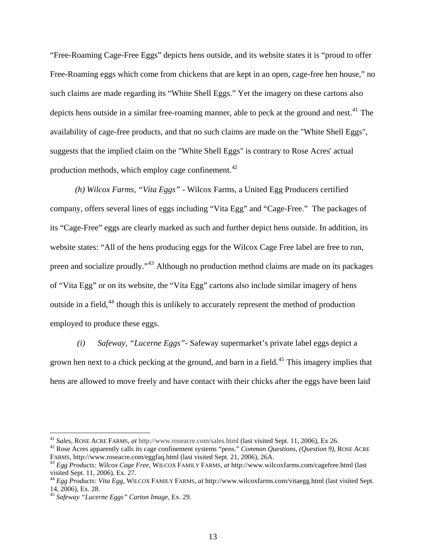"Free-Roaming Cage-Free Eggs" depicts hens outside, and its website states it is "proud to offer Free-Roaming eggs which come from chickens that are kept in an open, cage-free hen house," no such claims are made regarding its "White Shell Eggs." Yet the imagery on these cartons also depicts hens outside in a similar free-roaming manner, able to peck at the ground and nest.<sup>[41](#page-12-0)</sup> The availability of cage-free products, and that no such claims are made on the "White Shell Eggs", suggests that the implied claim on the "White Shell Eggs" is contrary to Rose Acres' actual production methods, which employ cage confinement.<sup>[42](#page-12-1)</sup>

 *(h) Wilcox Farms, "Vita Eggs"* - Wilcox Farms, a United Egg Producers certified company, offers several lines of eggs including "Vita Egg" and "Cage-Free." The packages of its "Cage-Free" eggs are clearly marked as such and further depict hens outside. In addition, its website states: "All of the hens producing eggs for the Wilcox Cage Free label are free to run, preen and socialize proudly."[43](#page-12-2) Although no production method claims are made on its packages of "Vita Egg" or on its website, the "Vita Egg" cartons also include similar imagery of hens outside in a field,<sup>[44](#page-12-3)</sup> though this is unlikely to accurately represent the method of production employed to produce these eggs.

 *(i) Safeway, "Lucerne Eggs"*- Safeway supermarket's private label eggs depict a grown hen next to a chick pecking at the ground, and barn in a field.<sup>[45](#page-12-4)</sup> This imagery implies that hens are allowed to move freely and have contact with their chicks after the eggs have been laid

<span id="page-12-0"></span><sup>&</sup>lt;sup>41</sup> Sales, ROSE ACRE FARMS, at http://www.roseacre.com/sales.html (last visited Sept. 11, 2006), Ex 26.

<span id="page-12-1"></span><sup>&</sup>lt;sup>42</sup> Rose Acres apparently calls its cage confinement systems "pens." *Common Questions*, (*Question 9*), ROSE ACRE FARMS, http://www.roseacre.com/eggfaq.html (last visited Sept. 21, 2006), 26A.

<span id="page-12-2"></span>FARMS,<http://www.roseacre.com/eggfaq.html> (last visited Sept. 21, 2006), 26A. 43 *Egg Products: Wilcox Cage Free*, WILCOX FAMILY FARMS*, at* <http://www.wilcoxfarms.com/cagefree.html>(last visited Sept. 11, 2006), Ex. 27.

<span id="page-12-3"></span><sup>44</sup> *Egg Products: Vita Egg,* WILCOX FAMILY FARMS, *at* <http://www.wilcoxfarms.com/vitaegg.html>(last visited Sept. 14, 2006)*,* Ex. 28. 45 *Safeway "Lucerne Eggs" Carton Image,* Ex. 29.

<span id="page-12-4"></span>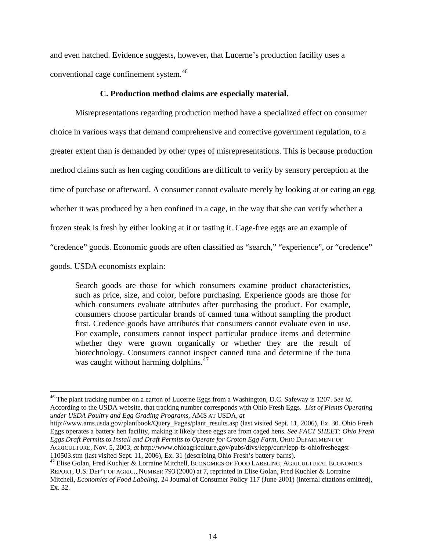and even hatched. Evidence suggests, however, that Lucerne's production facility uses a conventional cage confinement system.[46](#page-13-0)

### **C. Production method claims are especially material.**

 Misrepresentations regarding production method have a specialized effect on consumer choice in various ways that demand comprehensive and corrective government regulation, to a greater extent than is demanded by other types of misrepresentations. This is because production method claims such as hen caging conditions are difficult to verify by sensory perception at the time of purchase or afterward. A consumer cannot evaluate merely by looking at or eating an egg whether it was produced by a hen confined in a cage, in the way that she can verify whether a frozen steak is fresh by either looking at it or tasting it. Cage-free eggs are an example of "credence" goods. Economic goods are often classified as "search," "experience", or "credence" goods. USDA economists explain:

Search goods are those for which consumers examine product characteristics, such as price, size, and color, before purchasing. Experience goods are those for which consumers evaluate attributes after purchasing the product. For example, consumers choose particular brands of canned tuna without sampling the product first. Credence goods have attributes that consumers cannot evaluate even in use. For example, consumers cannot inspect particular produce items and determine whether they were grown organically or whether they are the result of biotechnology. Consumers cannot inspect canned tuna and determine if the tuna was caught without harming dolphins.<sup>[47](#page-13-1)</sup>

 $\overline{a}$ 

[http://www.ams.usda.gov/plantbook/Query\\_Pages/plant\\_results.asp](http://www.ams.usda.gov/plantbook/Query_Pages/plant_results.asp) (last visited Sept. 11, 2006), Ex. 30. Ohio Fresh Eggs operates a battery hen facility, making it likely these eggs are from caged hens. *See FACT SHEET: Ohio Fresh Eggs Draft Permits to Install and Draft Permits to Operate for Croton Egg Farm*, OHIO DEPARTMENT OF AGRICULTURE, Nov. 5, 2003, *at* http://www.ohioagriculture.gov/pubs/divs/lepp/curr/lepp-fs-ohiofresheggsr-110503.stm (last visited Sept. 11, 2006), Ex. 31 (describing Ohio Fresh's battery barns).

<span id="page-13-0"></span><sup>46</sup> The plant tracking number on a carton of Lucerne Eggs from a Washington, D.C. Safeway is 1207. *See id.* According to the USDA website, that tracking number corresponds with Ohio Fresh Eggs. *List of Plants Operating under USDA Poultry and Egg Grading Programs,* AMS AT USDA, *at* 

<span id="page-13-1"></span><sup>&</sup>lt;sup>[47](http://www.ohioagriculture.gov/pubs/divs/lepp/curr/lepp-fs-ohiofresheggsr-110503.stm)</sup> Elise Golan, Fred Kuchler & Lorraine Mitchell, ECONOMICS OF FOOD LABELING, AGRICULTURAL ECONOMICS REPORT, U.S. DEP'T OF AGRIC., NUMBER 793 (2000) at 7, reprinted in Elise Golan, Fred Kuchler & Lorraine Mitchell, *Economics of Food Labeling*, 24 Journal of Consumer Policy 117 (June 2001) (internal citations omitted), Ex. 32.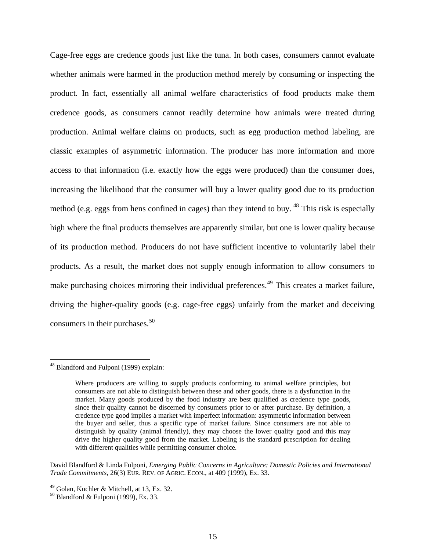Cage-free eggs are credence goods just like the tuna. In both cases, consumers cannot evaluate whether animals were harmed in the production method merely by consuming or inspecting the product. In fact, essentially all animal welfare characteristics of food products make them credence goods, as consumers cannot readily determine how animals were treated during production. Animal welfare claims on products, such as egg production method labeling, are classic examples of asymmetric information. The producer has more information and more access to that information (i.e. exactly how the eggs were produced) than the consumer does, increasing the likelihood that the consumer will buy a lower quality good due to its production method (e.g. eggs from hens confined in cages) than they intend to buy.  $48$  This risk is especially high where the final products themselves are apparently similar, but one is lower quality because of its production method. Producers do not have sufficient incentive to voluntarily label their products. As a result, the market does not supply enough information to allow consumers to make purchasing choices mirroring their individual preferences.<sup>[49](#page-14-1)</sup> This creates a market failure, driving the higher-quality goods (e.g. cage-free eggs) unfairly from the market and deceiving consumers in their purchases.<sup>[50](#page-14-2)</sup>

 $\overline{a}$ 

David Blandford & Linda Fulponi, *Emerging Public Concerns in Agriculture: Domestic Policies and International Trade Commitments*, 26(3) EUR. REV. OF AGRIC. ECON., at 409 (1999), Ex. 33.

<span id="page-14-0"></span><sup>&</sup>lt;sup>48</sup> Blandford and Fulponi (1999) explain:

Where producers are willing to supply products conforming to animal welfare principles, but consumers are not able to distinguish between these and other goods, there is a dysfunction in the market. Many goods produced by the food industry are best qualified as credence type goods, since their quality cannot be discerned by consumers prior to or after purchase. By definition, a credence type good implies a market with imperfect information: asymmetric information between the buyer and seller, thus a specific type of market failure. Since consumers are not able to distinguish by quality (animal friendly), they may choose the lower quality good and this may drive the higher quality good from the market. Labeling is the standard prescription for dealing with different qualities while permitting consumer choice.

<span id="page-14-1"></span> $49$  Golan, Kuchler & Mitchell, at 13, Ex. 32.

<span id="page-14-2"></span> $50$  Blandford & Fulponi (1999), Ex. 33.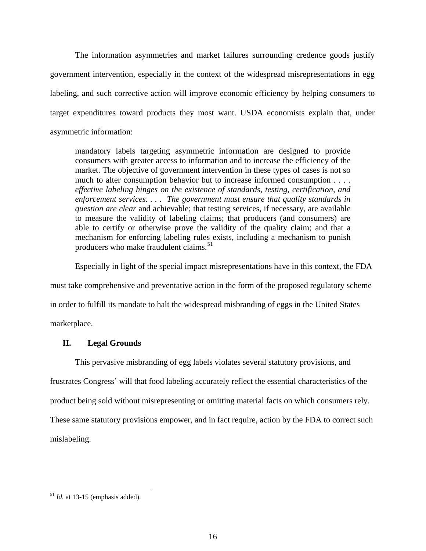The information asymmetries and market failures surrounding credence goods justify government intervention, especially in the context of the widespread misrepresentations in egg labeling, and such corrective action will improve economic efficiency by helping consumers to target expenditures toward products they most want. USDA economists explain that, under asymmetric information:

mandatory labels targeting asymmetric information are designed to provide consumers with greater access to information and to increase the efficiency of the market. The objective of government intervention in these types of cases is not so much to alter consumption behavior but to increase informed consumption . . . . *effective labeling hinges on the existence of standards, testing, certification, and enforcement services. . . . The government must ensure that quality standards in question are clear* and achievable; that testing services, if necessary, are available to measure the validity of labeling claims; that producers (and consumers) are able to certify or otherwise prove the validity of the quality claim; and that a mechanism for enforcing labeling rules exists, including a mechanism to punish producers who make fraudulent claims.<sup>[51](#page-15-0)</sup>

Especially in light of the special impact misrepresentations have in this context, the FDA

must take comprehensive and preventative action in the form of the proposed regulatory scheme

in order to fulfill its mandate to halt the widespread misbranding of eggs in the United States

marketplace.

# **II. Legal Grounds**

This pervasive misbranding of egg labels violates several statutory provisions, and frustrates Congress' will that food labeling accurately reflect the essential characteristics of the product being sold without misrepresenting or omitting material facts on which consumers rely. These same statutory provisions empower, and in fact require, action by the FDA to correct such mislabeling.

<span id="page-15-0"></span> $<sup>51</sup>$  *Id.* at 13-15 (emphasis added).</sup>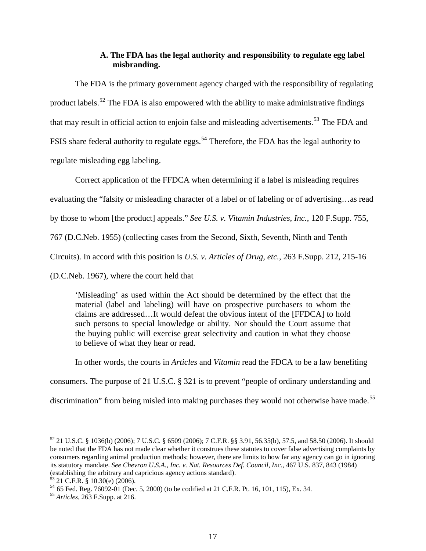# **A. The FDA has the legal authority and responsibility to regulate egg label misbranding.**

The FDA is the primary government agency charged with the responsibility of regulating product labels.<sup>[52](#page-16-0)</sup> The FDA is also empowered with the ability to make administrative findings that may result in official action to enjoin false and misleading advertisements.<sup>[53](#page-16-1)</sup> The FDA and FSIS share federal authority to regulate eggs.<sup>[54](#page-16-2)</sup> Therefore, the FDA has the legal authority to regulate misleading egg labeling.

Correct application of the FFDCA when determining if a label is misleading requires

evaluating the "falsity or misleading character of a label or of labeling or of advertising…as read

by those to whom [the product] appeals." *See U.S. v. Vitamin Industries, Inc.*, 120 F.Supp. 755,

767 (D.C.Neb. 1955) (collecting cases from the Second, Sixth, Seventh, Ninth and Tenth

Circuits). In accord with this position is *U.S. v. Articles of Drug, etc.*, 263 F.Supp. 212, 215-16

(D.C.Neb. 1967), where the court held that

'Misleading' as used within the Act should be determined by the effect that the material (label and labeling) will have on prospective purchasers to whom the claims are addressed…It would defeat the obvious intent of the [FFDCA] to hold such persons to special knowledge or ability. Nor should the Court assume that the buying public will exercise great selectivity and caution in what they choose to believe of what they hear or read.

In other words, the courts in *Articles* and *Vitamin* read the FDCA to be a law benefiting

consumers. The purpose of 21 U.S.C. § 321 is to prevent "people of ordinary understanding and

discrimination" from being misled into making purchases they would not otherwise have made.<sup>[55](#page-16-3)</sup>

<span id="page-16-0"></span> $52$  21 U.S.C. § 1036(b) (2006); 7 U.S.C. § 6509 (2006); 7 C.F.R. §§ 3.91, 56.35(b), 57.5, and 58.50 (2006). It should be noted that the FDA has not made clear whether it construes these statutes to cover false advertising complaints by consumers regarding animal production methods; however, there are limits to how far any agency can go in ignoring its statutory mandate. *See Chevron U.S.A., Inc. v. Nat. Resources Def. Council, Inc.*, 467 U.S. 837, 843 (1984) (establishing the arbitrary and capricious agency actions standard). 53 21 C.F.R. § 10.30(e) (2006).

<span id="page-16-1"></span>

<span id="page-16-2"></span><sup>54</sup> 65 Fed. Reg. 76092-01 (Dec. 5, 2000) (to be codified at 21 C.F.R. Pt. 16, 101, 115), Ex. 34. 55 *Articles*, 263 F.Supp. at 216.

<span id="page-16-3"></span>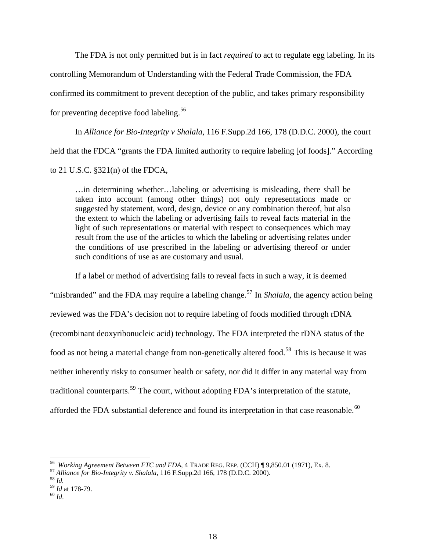The FDA is not only permitted but is in fact *required* to act to regulate egg labeling. In its controlling Memorandum of Understanding with the Federal Trade Commission, the FDA confirmed its commitment to prevent deception of the public, and takes primary responsibility for preventing deceptive food labeling.[56](#page-17-0)

In *Alliance for Bio-Integrity v Shalala*, 116 F.Supp.2d 166, 178 (D.D.C. 2000), the court held that the FDCA "grants the FDA limited authority to require labeling [of foods]." According to 21 U.S.C. §321(n) of the FDCA,

…in determining whether…labeling or advertising is misleading, there shall be taken into account (among other things) not only representations made or suggested by statement, word, design, device or any combination thereof, but also the extent to which the labeling or advertising fails to reveal facts material in the light of such representations or material with respect to consequences which may result from the use of the articles to which the labeling or advertising relates under the conditions of use prescribed in the labeling or advertising thereof or under such conditions of use as are customary and usual.

If a label or method of advertising fails to reveal facts in such a way, it is deemed

"misbranded" and the FDA may require a labeling change.<sup>[57](#page-17-1)</sup> In *Shalala*, the agency action being reviewed was the FDA's decision not to require labeling of foods modified through rDNA (recombinant deoxyribonucleic acid) technology. The FDA interpreted the rDNA status of the food as not being a material change from non-genetically altered food.<sup>[58](#page-17-2)</sup> This is because it was neither inherently risky to consumer health or safety, nor did it differ in any material way from traditional counterparts.<sup>[59](#page-17-3)</sup> The court, without adopting FDA's interpretation of the statute, afforded the FDA substantial deference and found its interpretation in that case reasonable.<sup>[60](#page-17-4)</sup>

<span id="page-17-0"></span><sup>56</sup>*Working Agreement Between FTC and FDA*, 4 TRADE REG. REP. (CCH) ¶ 9,850.01 (1971), Ex. 8. 57 *Alliance for Bio-Integrity v. Shalala*, 116 F.Supp.2d 166, 178 (D.D.C. 2000). 58 *Id.*

<span id="page-17-3"></span><span id="page-17-2"></span><span id="page-17-1"></span>

<sup>59</sup> *Id* at 178-79. 60 *Id*.

<span id="page-17-4"></span>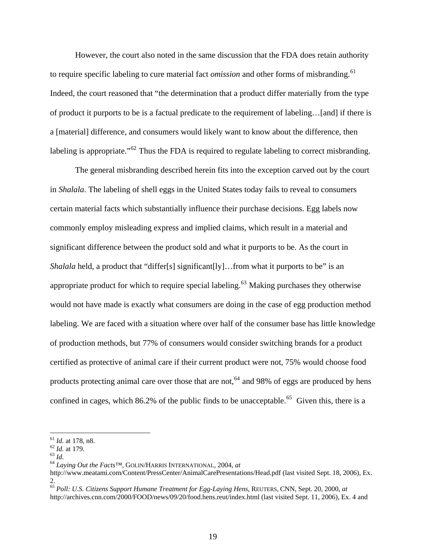However, the court also noted in the same discussion that the FDA does retain authority to require specific labeling to cure material fact *omission* and other forms of misbranding.<sup>[61](#page-18-0)</sup> Indeed, the court reasoned that "the determination that a product differ materially from the type of product it purports to be is a factual predicate to the requirement of labeling…[and] if there is a [material] difference, and consumers would likely want to know about the difference, then labeling is appropriate."<sup>[62](#page-18-1)</sup> Thus the FDA is required to regulate labeling to correct misbranding.

The general misbranding described herein fits into the exception carved out by the court in *Shalala*. The labeling of shell eggs in the United States today fails to reveal to consumers certain material facts which substantially influence their purchase decisions. Egg labels now commonly employ misleading express and implied claims, which result in a material and significant difference between the product sold and what it purports to be. As the court in *Shalala* held, a product that "differ[s] significant[ly]...from what it purports to be" is an appropriate product for which to require special labeling.<sup>[63](#page-18-2)</sup> Making purchases they otherwise would not have made is exactly what consumers are doing in the case of egg production method labeling. We are faced with a situation where over half of the consumer base has little knowledge of production methods, but 77% of consumers would consider switching brands for a product certified as protective of animal care if their current product were not, 75% would choose food products protecting animal care over those that are not,<sup> $64$ </sup> and 98% of eggs are produced by hens confined in cages, which  $86.2\%$  of the public finds to be unacceptable.<sup>[65](#page-18-4)</sup> Given this, there is a

<span id="page-18-0"></span> $^{61}$  *Id.* at 178, n8.<br> $^{62}$  *Id.* at 179.

<span id="page-18-1"></span>

<span id="page-18-2"></span><sup>61</sup> *Id.* at 178, n8. <sup>62</sup> *Id.* at 179. 63 *Id*. 64 *Laying Out the Facts™*, GOLIN/HARRIS INTERNATIONAL, 2004, *at*

<span id="page-18-3"></span><http://www.meatami.com/Content/PressCenter/AnimalCarePresentations/Head.pdf>(last visited Sept. 18, 2006), Ex. 2.

<span id="page-18-4"></span><sup>65</sup> *Poll: U.S. Citizens Support Humane Treatment for Egg-Laying Hens*, REUTERS, CNN, Sept. 20, 2000, *at* http://archives.cnn.com/2000/FOOD/news/09/20/food.hens.reut/index.html (last visited Sept. 11, 2006), Ex. 4 and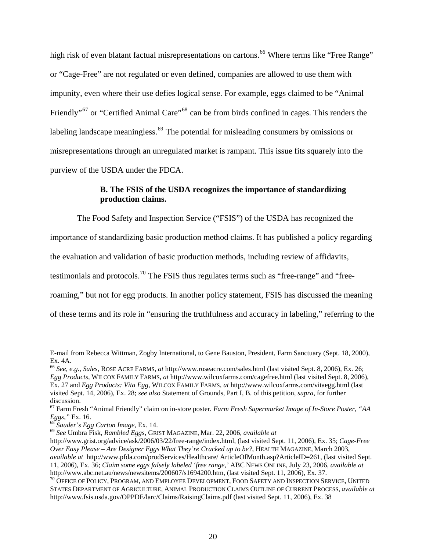high risk of even blatant factual misrepresentations on cartons.<sup>[66](#page-19-0)</sup> Where terms like "Free Range" or "Cage-Free" are not regulated or even defined, companies are allowed to use them with impunity, even where their use defies logical sense. For example, eggs claimed to be "Animal Friendly"<sup>[67](#page-19-1)</sup> or "Certified Animal Care"<sup>[68](#page-19-2)</sup> can be from birds confined in cages. This renders the labeling landscape meaningless.<sup>[69](#page-19-3)</sup> The potential for misleading consumers by omissions or misrepresentations through an unregulated market is rampant. This issue fits squarely into the purview of the USDA under the FDCA.

# **B. The FSIS of the USDA recognizes the importance of standardizing production claims.**

The Food Safety and Inspection Service ("FSIS") of the USDA has recognized the

importance of standardizing basic production method claims. It has published a policy regarding

the evaluation and validation of basic production methods, including review of affidavits,

testimonials and protocols.<sup>[70](#page-19-4)</sup> The FSIS thus regulates terms such as "free-range" and "free-

roaming," but not for egg products. In another policy statement, FSIS has discussed the meaning

of these terms and its role in "ensuring the truthfulness and accuracy in labeling," referring to the

E-mail from Rebecca Wittman, Zogby International, to Gene Bauston, President, Farm Sanctuary (Sept. 18, 2000), Ex. 4A.

<span id="page-19-0"></span><sup>66</sup> *See, e.g., Sales*, ROSE ACRE FARMS, *at* http://www.roseacre.com/sales.html (last visited Sept. 8, 2006), Ex. 26; *Egg Products,* WILCOX FAMILY FARMS, *at* <http://www.wilcoxfarms.com/cagefree.html> (last visited Sept. 8, 2006), Ex. 27 and *Egg Products: Vita Egg,* WILCOX FAMILY FARMS, *at* <http://www.wilcoxfarms.com/vitaegg.html> (last visited Sept. 14, 2006)*,* Ex. 28; *see also* Statement of Grounds, Part I, B. of this petition, *supra*, for further discussion.

<span id="page-19-1"></span><sup>&</sup>lt;sup>67</sup> Farm Fresh "Animal Friendly" claim on in-store poster. *Farm Fresh Supermarket Image of In-Store Poster*, "AA *Eggs,*" Ex. 16.<br><sup>68</sup> Saudar's Eqs. Cantor Image Freed 1.1.

<span id="page-19-3"></span><span id="page-19-2"></span><sup>&</sup>lt;sup>68</sup> Sauder's Egg Carton Image, Ex. 14.<br><sup>69</sup> See Umbra Fisk, *Rambled Eggs, GRIST MAGAZINE*, Mar. 22, 2006, *available at* 

http://www.grist.org/advice/ask/2006/03/22/free-range/index.html, (last visited Sept. 11, 2006), Ex. 35; *Cage-Free Over Easy Please – Are Designer Eggs What They're Cracked up to be?*, HEALTH MAGAZINE, March 2003, *available at* http://www.pfda.com/prodServices/Healthcare/ ArticleOfMonth.asp?ArticleID=261, (last visited Sept. 11, 2006), Ex. 36; *Claim some eggs falsely labeled 'free range,'* ABC NEWS ONLINE, July 23, 2006, *available at*  <http://www.abc.net.au/news/newsitems/200607/s1694200.htm>, (last visited Sept. 11, 2006), Ex. 37.<br><sup>[70](http://www.abc.net.au/news/newsitems/200607/s1694200.htm)</sup> OFFICE OF POLICY, PROGRAM, AND EMPLOYEE DEVELOPMENT, FOOD SAFETY AND INSPECTION SERVICE, UNITED

<span id="page-19-4"></span>STATES DEPARTMENT OF AGRICULTURE, ANIMAL PRODUCTION CLAIMS OUTLINE OF CURRENT PROCESS, *available at* <http://www.fsis.usda.gov/OPPDE/larc/Claims/RaisingClaims.pdf> (last visited Sept. 11, 2006), Ex. 38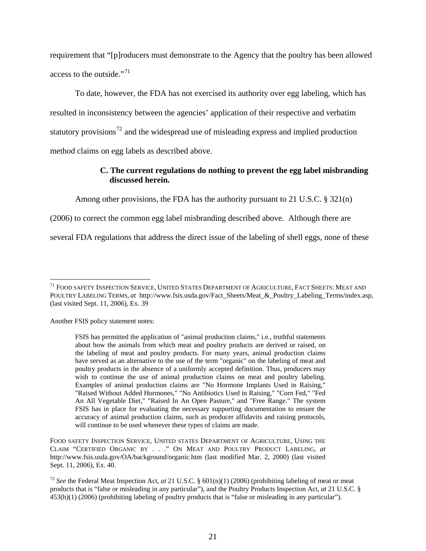requirement that "[p]roducers must demonstrate to the Agency that the poultry has been allowed access to the outside."<sup>[71](#page-20-0)</sup>

To date, however, the FDA has not exercised its authority over egg labeling, which has resulted in inconsistency between the agencies' application of their respective and verbatim statutory provisions<sup>[72](#page-20-1)</sup> and the widespread use of misleading express and implied production method claims on egg labels as described above.

# **C. The current regulations do nothing to prevent the egg label misbranding discussed herein.**

Among other provisions, the FDA has the authority pursuant to 21 U.S.C.  $\S 321(n)$ 

(2006) to correct the common egg label misbranding described above. Although there are

several FDA regulations that address the direct issue of the labeling of shell eggs, none of these

Another FSIS policy statement notes:

 $\overline{a}$ 

FOOD SAFETY INSPECTION SERVICE, UNITED STATES DEPARTMENT OF AGRICULTURE, USING THE CLAIM "CERTIFIED ORGANIC BY . . ." ON MEAT AND POULTRY PRODUCT LABELING, *at*  <http://www.fsis.usda.gov/OA/background/organic.htm> (last modified Mar. 2, 2000) (last visited Sept. 11, 2006), Ex. 40.

<span id="page-20-1"></span><sup>72</sup> *See* the Federal Meat Inspection Act, *at* 21 U.S.C. § 601(n)(1) (2006) (prohibiting labeling of meat or meat products that is "false or misleading in any particular"), and the Poultry Products Inspection Act, *at* 21 U.S.C. § 453(h)(1) (2006) (prohibiting labeling of poultry products that is "false or misleading in any particular").

<span id="page-20-0"></span><sup>&</sup>lt;sup>71</sup> FOOD SAFETY INSPECTION SERVICE, UNITED STATES DEPARTMENT OF AGRICULTURE, FACT SHEETS: MEAT AND POULTRY LABELING TERMS, *at* http://www.fsis.usda.gov/Fact\_Sheets/Meat\_&\_Poultry\_Labeling\_Terms/index.asp, (last visited Sept. 11, 2006), Ex. 39

FSIS has permitted the application of "animal production claims," i.e., truthful statements about how the animals from which meat and poultry products are derived or raised, on the labeling of meat and poultry products. For many years, animal production claims have served as an alternative to the use of the term "organic" on the labeling of meat and poultry products in the absence of a uniformly accepted definition. Thus, producers may wish to continue the use of animal production claims on meat and poultry labeling. Examples of animal production claims are "No Hormone Implants Used in Raising," "Raised Without Added Hormones," "No Antibiotics Used in Raising," "Corn Fed," "Fed An All Vegetable Diet," "Raised In An Open Pasture," and "Free Range." The system FSIS has in place for evaluating the necessary supporting documentation to ensure the accuracy of animal production claims, such as producer affidavits and raising protocols, will continue to be used whenever these types of claims are made.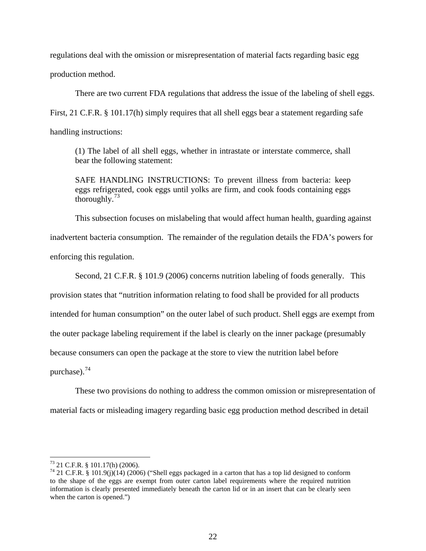regulations deal with the omission or misrepresentation of material facts regarding basic egg

production method.

There are two current FDA regulations that address the issue of the labeling of shell eggs.

First, 21 C.F.R. § 101.17(h) simply requires that all shell eggs bear a statement regarding safe

handling instructions:

(1) The label of all shell eggs, whether in intrastate or interstate commerce, shall bear the following statement:

SAFE HANDLING INSTRUCTIONS: To prevent illness from bacteria: keep eggs refrigerated, cook eggs until yolks are firm, and cook foods containing eggs thoroughly. $73$ 

This subsection focuses on mislabeling that would affect human health, guarding against inadvertent bacteria consumption. The remainder of the regulation details the FDA's powers for enforcing this regulation.

Second, 21 C.F.R. § 101.9 (2006) concerns nutrition labeling of foods generally. This

provision states that "nutrition information relating to food shall be provided for all products

intended for human consumption" on the outer label of such product. Shell eggs are exempt from

the outer package labeling requirement if the label is clearly on the inner package (presumably

because consumers can open the package at the store to view the nutrition label before

purchase).[74](#page-21-1)

 $\overline{a}$ 

These two provisions do nothing to address the common omission or misrepresentation of

material facts or misleading imagery regarding basic egg production method described in detail

<span id="page-21-0"></span><sup>73 21</sup> C.F.R. § 101.17(h) (2006).

<span id="page-21-1"></span><sup>74 21</sup> C.F.R. § 101.9(j)(14) (2006) ("Shell eggs packaged in a carton that has a top lid designed to conform to the shape of the eggs are exempt from outer carton label requirements where the required nutrition information is clearly presented immediately beneath the carton lid or in an insert that can be clearly seen when the carton is opened.")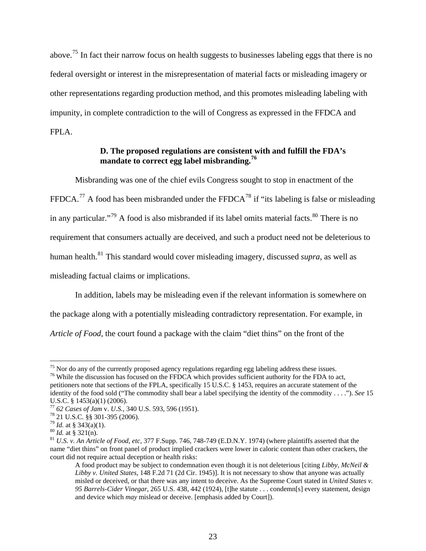above.[75](#page-22-0) In fact their narrow focus on health suggests to businesses labeling eggs that there is no federal oversight or interest in the misrepresentation of material facts or misleading imagery or other representations regarding production method, and this promotes misleading labeling with impunity, in complete contradiction to the will of Congress as expressed in the FFDCA and FPLA.

# **D. The proposed regulations are consistent with and fulfill the FDA's mandate to correct egg label misbranding.[76](#page-22-1)**

Misbranding was one of the chief evils Congress sought to stop in enactment of the FFDCA.<sup>[77](#page-22-2)</sup> A food has been misbranded under the FFDCA<sup>[78](#page-22-3)</sup> if "its labeling is false or misleading in any particular."<sup>[79](#page-22-4)</sup> A food is also misbranded if its label omits material facts.<sup>[80](#page-22-5)</sup> There is no requirement that consumers actually are deceived, and such a product need not be deleterious to human health.[81](#page-22-6) This standard would cover misleading imagery, discussed *supra*, as well as misleading factual claims or implications.

In addition, labels may be misleading even if the relevant information is somewhere on the package along with a potentially misleading contradictory representation. For example, in *Article of Food,* the court found a package with the claim "diet thins" on the front of the

<span id="page-22-0"></span> $75$  Nor do any of the currently proposed agency regulations regarding egg labeling address these issues.

<span id="page-22-1"></span><sup>&</sup>lt;sup>76</sup> While the discussion has focused on the FFDCA which provides sufficient authority for the FDA to act, petitioners note that sections of the FPLA, specifically 15 U.S.C. § 1453, requires an accurate statement of the identity of the food sold ("The commodity shall bear a label specifying the identity of the commodity . . . ."). *See* 15 U.S.C. § 1453(a)(1) (2006).

<span id="page-22-3"></span><span id="page-22-2"></span><sup>77</sup> *62 Cases of Jam* v. *U.S.*, 340 U.S. 593, 596 (1951). 78 21 U.S.C. §§ 301-395 (2006).

<span id="page-22-6"></span><span id="page-22-5"></span><span id="page-22-4"></span> $^{80}$  *Id.* at § 321(n).<br><sup>81</sup> *U.S. v. An Article of Food, etc,* 377 F.Supp. 746, 748-749 (E.D.N.Y. 1974) (where plaintiffs asserted that the name "diet thins" on front panel of product implied crackers were lower in caloric content than other crackers, the court did not require actual deception or health risks:

A food product may be subject to condemnation even though it is not deleterious [citing *Libby, McNeil & Libby v. United States*, 148 F.2d 71 (2d Cir. 1945)]. It is not necessary to show that anyone was actually misled or deceived, or that there was any intent to deceive. As the Supreme Court stated in *United States v. 95 Barrels-Cider Vinegar*, 265 U.S. 438, 442 (1924), [t]he statute . . . condemn[s] every statement, design and device which *may* mislead or deceive. [emphasis added by Court]).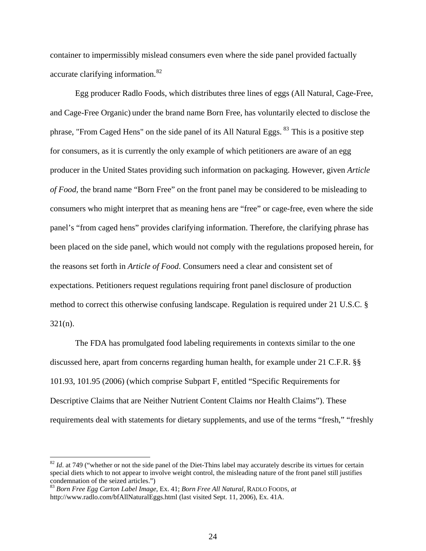container to impermissibly mislead consumers even where the side panel provided factually accurate clarifying information.<sup>[82](#page-23-0)</sup>

Egg producer Radlo Foods, which distributes three lines of eggs (All Natural, Cage-Free, and Cage-Free Organic) under the brand name Born Free, has voluntarily elected to disclose the phrase, "From Caged Hens" on the side panel of its All Natural Eggs. <sup>[83](#page-23-1)</sup> This is a positive step for consumers, as it is currently the only example of which petitioners are aware of an egg producer in the United States providing such information on packaging. However, given *Article of Food,* the brand name "Born Free" on the front panel may be considered to be misleading to consumers who might interpret that as meaning hens are "free" or cage-free, even where the side panel's "from caged hens" provides clarifying information. Therefore, the clarifying phrase has been placed on the side panel, which would not comply with the regulations proposed herein, for the reasons set forth in *Article of Food*. Consumers need a clear and consistent set of expectations. Petitioners request regulations requiring front panel disclosure of production method to correct this otherwise confusing landscape. Regulation is required under 21 U.S.C. § 321(n).

The FDA has promulgated food labeling requirements in contexts similar to the one discussed here, apart from concerns regarding human health, for example under 21 C.F.R. §§ 101.93, 101.95 (2006) (which comprise Subpart F, entitled "Specific Requirements for Descriptive Claims that are Neither Nutrient Content Claims nor Health Claims"). These requirements deal with statements for dietary supplements, and use of the terms "fresh," "freshly

<span id="page-23-0"></span><sup>&</sup>lt;sup>82</sup> *Id.* at 749 ("whether or not the side panel of the Diet-Thins label may accurately describe its virtues for certain special diets which to not appear to involve weight control, the misleading nature of the front panel still justifies condemnation of the seized articles.")

<span id="page-23-1"></span><sup>83</sup> *Born Free Egg Carton Label Image,* Ex. 41; *Born Free All Natural,* RADLO FOODS, *at* <http://www.radlo.com/bfAllNaturalEggs.html> (last visited Sept. 11, 2006), Ex. 41A.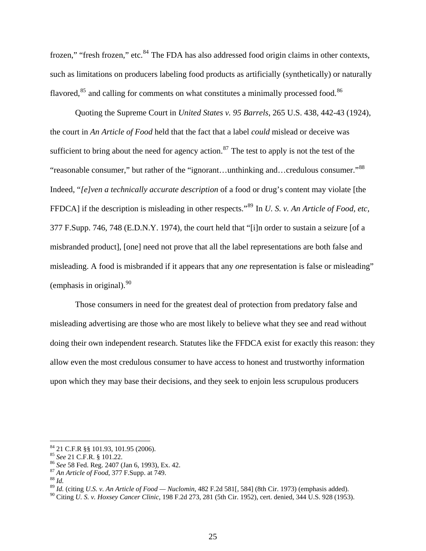frozen," "fresh frozen," etc.<sup>[84](#page-24-0)</sup> The FDA has also addressed food origin claims in other contexts, such as limitations on producers labeling food products as artificially (synthetically) or naturally flavored,<sup>[85](#page-24-1)</sup> and calling for comments on what constitutes a minimally processed food.<sup>[86](#page-24-2)</sup>

Quoting the Supreme Court in *United States v. 95 Barrels*, 265 U.S. 438, 442-43 (1924), the court in *An Article of Food* held that the fact that a label *could* mislead or deceive was sufficient to bring about the need for agency action.<sup>[87](#page-24-3)</sup> The test to apply is not the test of the "reasonable consumer," but rather of the "ignorant…unthinking and…credulous consumer."[88](#page-24-4) Indeed, "*[e]ven a technically accurate description* of a food or drug's content may violate [the FFDCA] if the description is misleading in other respects."[89](#page-24-5) In *U. S. v. An Article of Food, etc,* 377 F.Supp. 746, 748 (E.D.N.Y. 1974), the court held that "[i]n order to sustain a seizure [of a misbranded product], [one] need not prove that all the label representations are both false and misleading. A food is misbranded if it appears that any *one* representation is false or misleading" (emphasis in original).  $90$ 

Those consumers in need for the greatest deal of protection from predatory false and misleading advertising are those who are most likely to believe what they see and read without doing their own independent research. Statutes like the FFDCA exist for exactly this reason: they allow even the most credulous consumer to have access to honest and trustworthy information upon which they may base their decisions, and they seek to enjoin less scrupulous producers

<span id="page-24-0"></span> $^{84}$  21 C.F.R §§ 101.93, 101.95 (2006).<br>  $^{85}$  See 21 C.F.R. § 101.22.

<span id="page-24-2"></span><span id="page-24-1"></span><sup>&</sup>lt;sup>86</sup> *See* 58 Fed. Reg. 2407 (Jan 6, 1993), Ex. 42. <sup>87</sup> *An Article of Food*, 377 F.Supp. at 749. <sup>88</sup> *Id.* 

<span id="page-24-5"></span><span id="page-24-4"></span><span id="page-24-3"></span>

<sup>89</sup> *Id.* (citing *U.S. v. An Article of Food — Nuclomin*, 482 F.2d 581[, 584] (8th Cir. 1973) (emphasis added).

<span id="page-24-6"></span><sup>90</sup> Citing *U. S. v. Hoxsey Cancer Clinic*, 198 F.2d 273, 281 (5th Cir. 1952), cert. denied, 344 U.S. 928 (1953).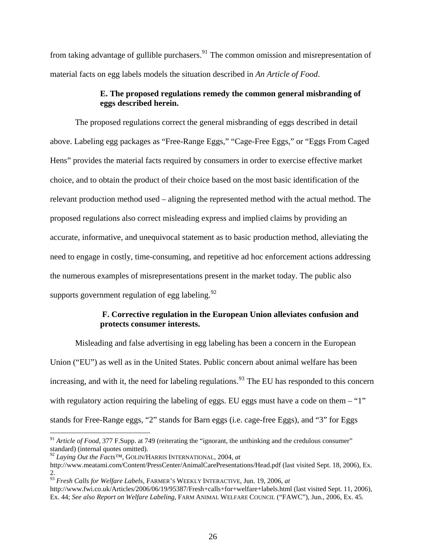from taking advantage of gullible purchasers.<sup>[91](#page-25-0)</sup> The common omission and misrepresentation of material facts on egg labels models the situation described in *An Article of Food*.

# **E. The proposed regulations remedy the common general misbranding of eggs described herein.**

The proposed regulations correct the general misbranding of eggs described in detail above. Labeling egg packages as "Free-Range Eggs," "Cage-Free Eggs," or "Eggs From Caged Hens" provides the material facts required by consumers in order to exercise effective market choice, and to obtain the product of their choice based on the most basic identification of the relevant production method used – aligning the represented method with the actual method. The proposed regulations also correct misleading express and implied claims by providing an accurate, informative, and unequivocal statement as to basic production method, alleviating the need to engage in costly, time-consuming, and repetitive ad hoc enforcement actions addressing the numerous examples of misrepresentations present in the market today. The public also supports government regulation of egg labeling.<sup>[92](#page-25-1)</sup>

# **F. Corrective regulation in the European Union alleviates confusion and protects consumer interests.**

 Misleading and false advertising in egg labeling has been a concern in the European Union ("EU") as well as in the United States. Public concern about animal welfare has been increasing, and with it, the need for labeling regulations.<sup>[93](#page-25-2)</sup> The EU has responded to this concern with regulatory action requiring the labeling of eggs. EU eggs must have a code on them – "1" stands for Free-Range eggs, "2" stands for Barn eggs (i.e. cage-free Eggs), and "3" for Eggs

<span id="page-25-0"></span><sup>&</sup>lt;sup>91</sup> *Article of Food,* 377 F.Supp. at 749 (reiterating the "ignorant, the unthinking and the credulous consumer" standard) (internal quotes omitted).

<span id="page-25-1"></span><sup>92</sup> *Laying Out the Facts™*, GOLIN/HARRIS INTERNATIONAL, 2004, *at*

<http://www.meatami.com/Content/PressCenter/AnimalCarePresentations/Head.pdf>(last visited Sept. 18, 2006), Ex. 2.

<span id="page-25-2"></span><sup>93</sup> *Fresh Calls for Welfare Labels,* FARMER'S WEEKLY INTERACTIVE, Jun. 19, 2006, *at* 

<http://www.fwi.co.uk/Articles/2006/06/19/95387/Fresh+calls+for+welfare+labels.html> (last visited Sept. 11, 2006), Ex. 44; *See also Report on Welfare Labeling,* FARM ANIMAL WELFARE COUNCIL ("FAWC"), Jun., 2006, Ex. 45.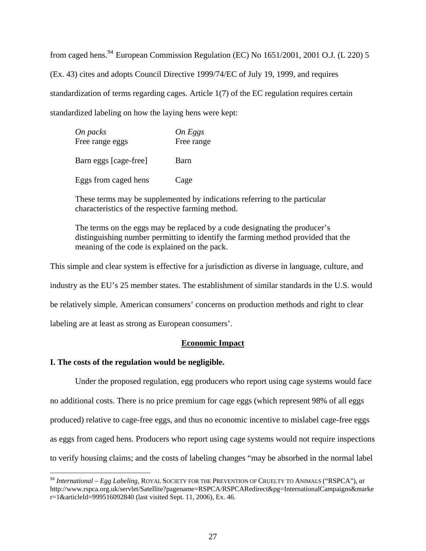from caged hens.<sup>[94](#page-26-0)</sup> European Commission Regulation (EC) No  $1651/2001$ ,  $2001$  O.J. (L 220) 5 (Ex. 43) cites and adopts Council Directive 1999/74/EC of July 19, 1999, and requires standardization of terms regarding cages. Article 1(7) of the EC regulation requires certain standardized labeling on how the laying hens were kept:

| On packs<br>Free range eggs | On Eggs<br>Free range |
|-----------------------------|-----------------------|
| Barn eggs [cage-free]       | Barn                  |
| Eggs from caged hens        | Cage                  |

These terms may be supplemented by indications referring to the particular characteristics of the respective farming method.

The terms on the eggs may be replaced by a code designating the producer's distinguishing number permitting to identify the farming method provided that the meaning of the code is explained on the pack.

This simple and clear system is effective for a jurisdiction as diverse in language, culture, and industry as the EU's 25 member states. The establishment of similar standards in the U.S. would be relatively simple. American consumers' concerns on production methods and right to clear labeling are at least as strong as European consumers'.

# **Economic Impact**

# **I. The costs of the regulation would be negligible.**

 $\overline{a}$ 

 Under the proposed regulation, egg producers who report using cage systems would face no additional costs. There is no price premium for cage eggs (which represent 98% of all eggs produced) relative to cage-free eggs, and thus no economic incentive to mislabel cage-free eggs as eggs from caged hens. Producers who report using cage systems would not require inspections to verify housing claims; and the costs of labeling changes "may be absorbed in the normal label

<span id="page-26-0"></span><sup>94</sup> *International – Egg Labeling,* ROYAL SOCIETY FOR THE PREVENTION OF CRUELTY TO ANIMALS ("RSPCA"), *at* [http://www.rspca.org.uk/servlet/Satellite?pagename=RSPCA/RSPCARedirect&pg=InternationalCampaigns&marke](http://www.rspca.org.uk/servlet/Satellite?pagename=RSPCA/RSPCARedirect&pg=InternationalCampaigns&marker=1&articleId=999516092840) [r=1&articleId=999516092840](http://www.rspca.org.uk/servlet/Satellite?pagename=RSPCA/RSPCARedirect&pg=InternationalCampaigns&marker=1&articleId=999516092840) (last visited Sept. 11, 2006), Ex. 46.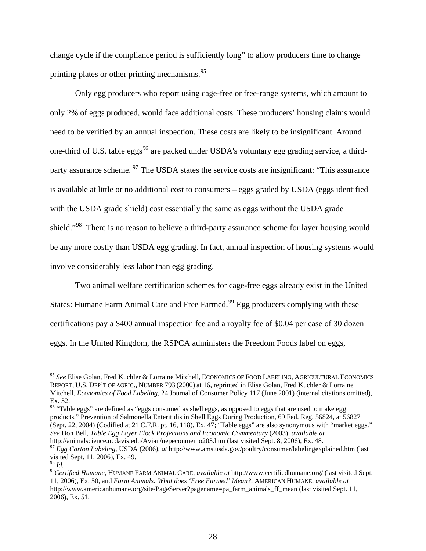change cycle if the compliance period is sufficiently long" to allow producers time to change printing plates or other printing mechanisms.<sup>[95](#page-27-0)</sup>

Only egg producers who report using cage-free or free-range systems, which amount to only 2% of eggs produced, would face additional costs. These producers' housing claims would need to be verified by an annual inspection. These costs are likely to be insignificant. Around one-third of U.S. table eggs<sup>[96](#page-27-1)</sup> are packed under USDA's voluntary egg grading service, a third-party assurance scheme. <sup>[97](#page-27-2)</sup> The USDA states the service costs are insignificant: "This assurance is available at little or no additional cost to consumers – eggs graded by USDA (eggs identified with the USDA grade shield) cost essentially the same as eggs without the USDA grade shield."<sup>[98](#page-27-3)</sup> There is no reason to believe a third-party assurance scheme for layer housing would be any more costly than USDA egg grading. In fact, annual inspection of housing systems would involve considerably less labor than egg grading.

Two animal welfare certification schemes for cage-free eggs already exist in the United States: Humane Farm Animal Care and Free Farmed.<sup>[99](#page-27-4)</sup> Egg producers complying with these certifications pay a \$400 annual inspection fee and a royalty fee of \$0.04 per case of 30 dozen eggs. In the United Kingdom, the RSPCA administers the Freedom Foods label on eggs,

<span id="page-27-0"></span><sup>95</sup> *See* Elise Golan, Fred Kuchler & Lorraine Mitchell, ECONOMICS OF FOOD LABELING, AGRICULTURAL ECONOMICS REPORT, U.S. DEP'T OF AGRIC., NUMBER 793 (2000) at 16, reprinted in Elise Golan, Fred Kuchler & Lorraine Mitchell, *Economics of Food Labeling*, 24 Journal of Consumer Policy 117 (June 2001) (internal citations omitted), Ex. 32.

<span id="page-27-1"></span><sup>&</sup>lt;sup>96</sup> "Table eggs" are defined as "eggs consumed as shell eggs, as opposed to eggs that are used to make egg products." Prevention of Salmonella Enteritidis in Shell Eggs During Production, 69 Fed. Reg. 56824, at 56827 (Sept. 22, 2004) (Codified at 21 C.F.R. pt. 16, 118), Ex. 47; "Table eggs" are also synonymous with "market eggs." *See* Don Bell, *Table Egg Layer Flock Projections and Economic Commentary* (2003), *available at* http://animalscience.ucdavis.edu/Avian/uepeconmemo203.htm (last visited Sept. 8, 2006), Ex. 48.

<span id="page-27-2"></span><sup>97</sup> *Egg Carton Labeling*, USDA (2006), *at* <http://www.ams.usda.gov/poultry/consumer/labelingexplained.htm> (last visited Sept. 11, 2006), Ex. 49.

<span id="page-27-4"></span><span id="page-27-3"></span>

<sup>98</sup> *Id.* <sup>99</sup>*Certified Humane,* HUMANE FARM ANIMAL CARE, *available at* <http://www.certifiedhumane.org/> (last visited Sept. 11, 2006), Ex. 50, and *Farm Animals: What does 'Free Farmed' Mean?*, AMERICAN HUMANE, *available at*  [http://www.americanhumane.org/site/PageServer?pagename=pa\\_farm\\_animals\\_ff\\_mean](http://www.americanhumane.org/site/PageServer?pagename=pa_farm_animals_ff_mean) (last visited Sept. 11, 2006), Ex. 51.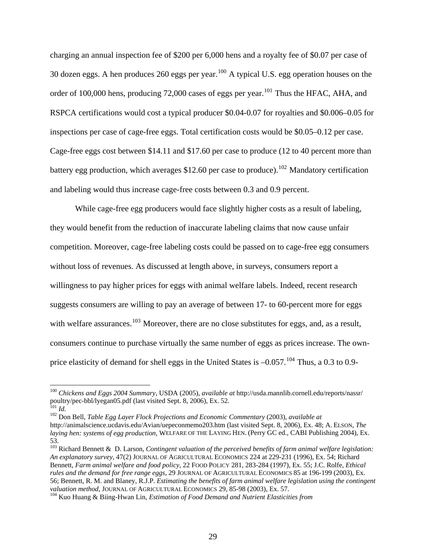charging an annual inspection fee of \$200 per 6,000 hens and a royalty fee of \$0.07 per case of 30 dozen eggs. A hen produces 260 eggs per year.<sup>[100](#page-28-0)</sup> A typical U.S. egg operation houses on the order of 100,000 hens, producing 72,000 cases of eggs per year.<sup>[101](#page-28-1)</sup> Thus the HFAC, AHA, and RSPCA certifications would cost a typical producer \$0.04-0.07 for royalties and \$0.006–0.05 for inspections per case of cage-free eggs. Total certification costs would be \$0.05–0.12 per case. Cage-free eggs cost between \$14.11 and \$17.60 per case to produce (12 to 40 percent more than battery egg production, which averages \$12.60 per case to produce).<sup>[102](#page-28-2)</sup> Mandatory certification and labeling would thus increase cage-free costs between 0.3 and 0.9 percent.

While cage-free egg producers would face slightly higher costs as a result of labeling, they would benefit from the reduction of inaccurate labeling claims that now cause unfair competition. Moreover, cage-free labeling costs could be passed on to cage-free egg consumers without loss of revenues. As discussed at length above, in surveys, consumers report a willingness to pay higher prices for eggs with animal welfare labels. Indeed, recent research suggests consumers are willing to pay an average of between 17- to 60-percent more for eggs with welfare assurances.<sup>[103](#page-28-3)</sup> Moreover, there are no close substitutes for eggs, and, as a result, consumers continue to purchase virtually the same number of eggs as prices increase. The ownprice elasticity of demand for shell eggs in the United States is  $-0.057$ .<sup>[104](#page-28-4)</sup> Thus, a 0.3 to 0.9-

<span id="page-28-0"></span><sup>100</sup> *Chickens and Eggs 2004 Summary*, USDA (2005), *available at* http://usda.mannlib.cornell.edu/reports/nassr/ poultry/pec-bbl/lyegan05.pdf (last visited Sept. 8, 2006), Ex. 52.

<span id="page-28-2"></span><span id="page-28-1"></span><sup>101</sup> *Id.* 102 Don Bell, *Table Egg Layer Flock Projections and Economic Commentary* (2003), *available at* http://animalscience.ucdavis.edu/Avian/uepeconmemo203.htm (last visited Sept. 8, 2006), Ex. 48; A. ELSON, *The laying hen: systems of egg production*, WELFARE OF THE LAYING HEN. (Perry GC ed., CABI Publishing 2004), Ex. 53.

<span id="page-28-3"></span><sup>103</sup> Richard Bennett & D. Larson, *Contingent valuation of the perceived benefits of farm animal welfare legislation: An explanatory survey*, 47(2) JOURNAL OF AGRICULTURAL ECONOMICS 224 at 229-231 (1996), Ex. 54; Richard Bennett, *Farm animal welfare and food policy*, 22 FOOD POLICY 281, 283-284 (1997), Ex. 55; J.C. Rolfe, *Ethical rules and the demand for free range eggs,* 29 JOURNAL OF AGRICULTURAL ECONOMICS 85 at 196-199 (2003), Ex. 56; Bennett, R. M. and Blaney, R.J.P. *Estimating the benefits of farm animal welfare legislation using the contingent valuation method*, JOURNAL OF AGRICULTURAL ECONOMICS 29, 85-98 (2003), Ex. 57.<br><sup>104</sup> Kuo Huang & Biing-Hwan Lin, *Estimation of Food Demand and Nutrient Elasticities from* 

<span id="page-28-4"></span>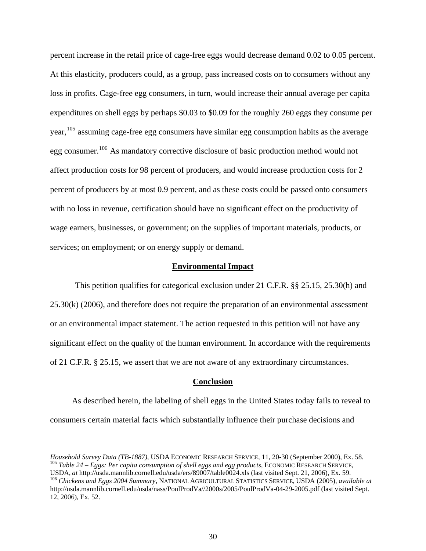percent increase in the retail price of cage-free eggs would decrease demand 0.02 to 0.05 percent. At this elasticity, producers could, as a group, pass increased costs on to consumers without any loss in profits. Cage-free egg consumers, in turn, would increase their annual average per capita expenditures on shell eggs by perhaps \$0.03 to \$0.09 for the roughly 260 eggs they consume per year, <sup>[105](#page-29-0)</sup> assuming cage-free egg consumers have similar egg consumption habits as the average egg consumer.<sup>[106](#page-29-1)</sup> As mandatory corrective disclosure of basic production method would not affect production costs for 98 percent of producers, and would increase production costs for 2 percent of producers by at most 0.9 percent, and as these costs could be passed onto consumers with no loss in revenue, certification should have no significant effect on the productivity of wage earners, businesses, or government; on the supplies of important materials, products, or services; on employment; or on energy supply or demand.

#### **Environmental Impact**

This petition qualifies for categorical exclusion under 21 C.F.R. §§ 25.15, 25.30(h) and 25.30(k) (2006), and therefore does not require the preparation of an environmental assessment or an environmental impact statement. The action requested in this petition will not have any significant effect on the quality of the human environment. In accordance with the requirements of 21 C.F.R. § 25.15, we assert that we are not aware of any extraordinary circumstances.

#### **Conclusion**

 As described herein, the labeling of shell eggs in the United States today fails to reveal to consumers certain material facts which substantially influence their purchase decisions and

<span id="page-29-0"></span>*Household Survey Data (TB-1887)*, USDA ECONOMIC RESEARCH SERVICE, 11, 20-30 (September 2000), Ex. 58. <sup>105</sup> *Table 24 – Eggs: Per capita consumption of shell eggs and egg products*, ECONOMIC RESEARCH SERVICE,

<span id="page-29-1"></span>USDA, at http://usda.mannlib.cornell.edu/usda/ers/89007/table0024.xls (last visited Sept. 21, 2006), Ex. 59.<br><sup>106</sup> Chickens and Eggs 2004 Summary, NATIONAL AGRICULTURAL STATISTICS SERVICE, USDA (2005), available at http://usda.mannlib.cornell.edu/usda/nass/PoulProdVa//2000s/2005/PoulProdVa-04-29-2005.pdf (last visited Sept. 12, 2006), Ex. 52.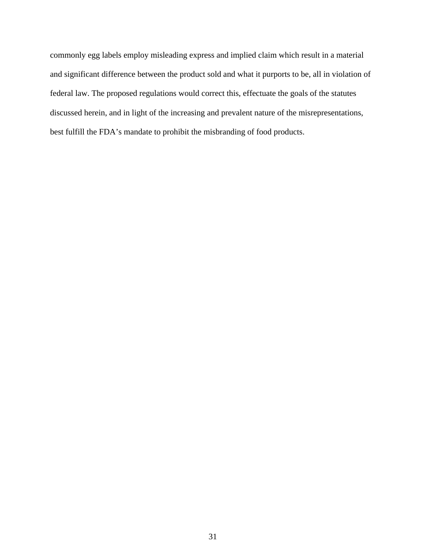commonly egg labels employ misleading express and implied claim which result in a material and significant difference between the product sold and what it purports to be, all in violation of federal law. The proposed regulations would correct this, effectuate the goals of the statutes discussed herein, and in light of the increasing and prevalent nature of the misrepresentations, best fulfill the FDA's mandate to prohibit the misbranding of food products.